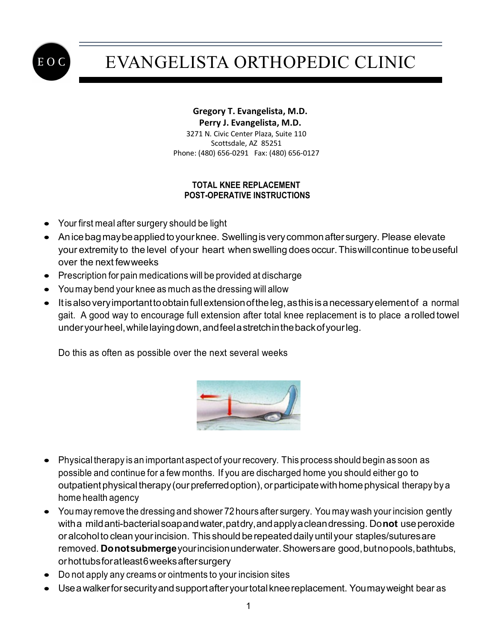

# EVANGELISTA ORTHOPEDIC CLINIC

#### **Gregory T. Evangelista, M.D. Perry J. Evangelista, M.D.** 3271 N. Civic Center Plaza, Suite 110 Scottsdale, AZ 85251

Phone: (480) 656-0291 Fax: (480) 656-0127

### **TOTAL KNEE REPLACEMENT POST-OPERATIVE INSTRUCTIONS**

- Your first meal after surgery should be light
- Anice bag may be applied to your knee. Swelling is very common after surgery. Please elevate your extremity to the level of your heart when swelling does occur.Thiswillcontinue tobeuseful over the next fewweeks
- Prescription for pain medications will be provided at discharge
- You may bend your knee as much as the dressing will allow
- It is also very important to obtain full extension of the leg, as this is a necessary element of a normal gait. A good way to encourage full extension after total knee replacement is to place a rolled towel underyourheel,whilelayingdown,andfeelastretchinthebackofyourleg.

Do this as often as possible over the next several weeks



- Physical therapy is an important aspect of your recovery. This process should begin as soon as possible and continue for a few months. If you are discharged home you should either go to outpatient physical therapy (our preferred option), or participate with home physical therapy by a home health agency
- You may remove the dressing and shower 72 hours after surgery. You may wash your incision gently witha mildanti-bacterialsoapandwater,patdry,andapplyacleandressing. Do**not** useperoxide or alcohol to clean your incision. This should be repeated daily until your staples/sutures are removed. **Donotsubmerge**yourincisionunderwater.Showersare good,butnopools,bathtubs, orhottubsforatleast6weeksaftersurgery
- Do not apply any creams or ointments to your incision sites
- Useawalkerfor securityandsupportafteryourtotalkneereplacement. Youmayweight bear as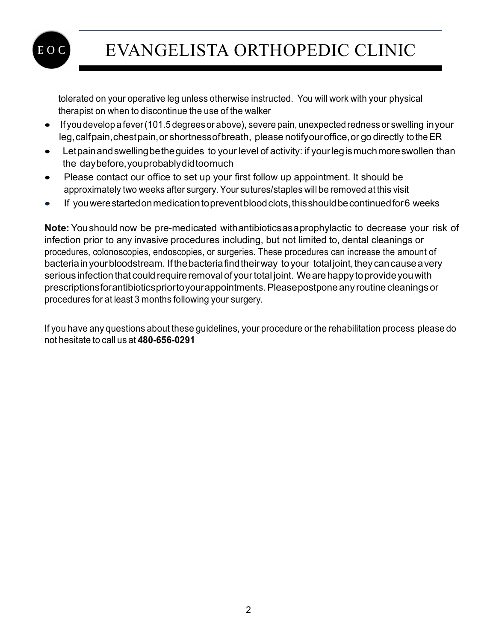

### EVANGELISTA ORTHOPEDIC CLINIC

tolerated on your operative leg unless otherwise instructed. You will work with your physical therapist on when to discontinue the use of the walker

- If you develop a fever(101.5 degreesor above), severe pain, unexpected redness or swelling inyour leg,calfpain,chestpain,or shortnessofbreath, please notifyouroffice,or go directly to the ER
- Letpainandswellingbetheguides to your level of activity: if yourlegismuchmoreswollen than the daybefore,youprobablydidtoomuch
- Please contact our office to set up your first follow up appointment. It should be approximately two weeks after surgery. Your sutures/staples will be removed at this visit
- If you were started on medication to prevent blood clots, this should be continued for 6 weeks

**Note:** You should now be pre-medicated withantibioticsasaprophylactic to decrease your risk of infection prior to any invasive procedures including, but not limited to, dental cleanings or procedures, colonoscopies, endoscopies, or surgeries. These procedures can increase the amount of bacteria in your bloodstream. If the bacteria find their way to your total joint, they can cause a very serious infection that could require removal of your total joint. We are happy to provide you with prescriptionsforantibioticspriortoyourappointments.Pleasepostpone any routine cleanings or procedures for at least 3 months following your surgery.

If you have any questions about these guidelines, your procedure or the rehabilitation process please do not hesitate to call us at **480-656-0291**